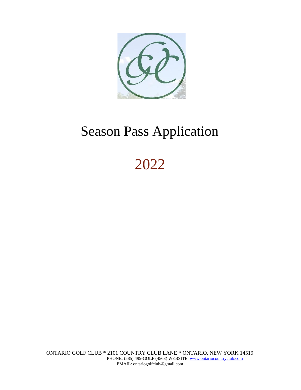

# Season Pass Application

2022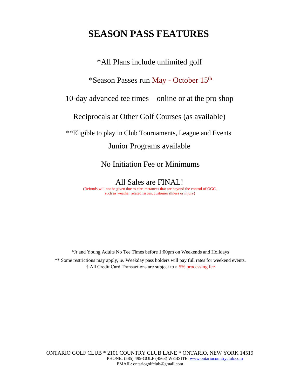## **SEASON PASS FEATURES**

\*All Plans include unlimited golf

\*Season Passes run May - October 15th

10-day advanced tee times – online or at the pro shop

Reciprocals at Other Golf Courses (as available)

\*\*Eligible to play in Club Tournaments, League and Events

## Junior Programs available

No Initiation Fee or Minimums

All Sales are FINAL! (Refunds will not be given due to circumstances that are beyond the control of OGC, such as weather related issues, customer illness or injury)

\*Jr and Young Adults No Tee Times before 1:00pm on Weekends and Holidays \*\* Some restrictions may apply, ie. Weekday pass holders will pay full rates for weekend events. † All Credit Card Transactions are subject to a 5% processing fee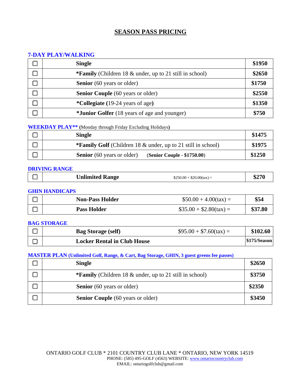## **SEASON PASS PRICING**

#### **7-DAY PLAY/WALKING**

| <b>Single</b>                                                  | \$1950 |
|----------------------------------------------------------------|--------|
| <b>*Family</b> (Children 18 & under, up to 21 still in school) | \$2650 |
| <b>Senior</b> (60 years or older)                              | \$1750 |
| <b>Senior Couple</b> (60 years or older)                       | \$2550 |
| * <b>Collegiate</b> (19-24 years of age)                       | \$1350 |
| * <b>Junior Golfer</b> (18 years of age and younger)           | \$750  |

**WEEKDAY PLAY\*\* (**Monday through Friday Excluding Holidays**)**

| <b>Single</b>                                                       | \$1475 |
|---------------------------------------------------------------------|--------|
| <b>*Family Golf</b> (Children 18 & under, up to 21 still in school) |        |
| <b>Senior</b> (60 years or older)<br>(Senior Couple - \$1750.00)    | \$1250 |

#### **DRIVING RANGE**

#### **GHIN HANDICAPS**

| <b>Non-Pass Holder</b> | $$50.00 + 4.00(tax) =$   | \$54    |
|------------------------|--------------------------|---------|
| <b>Pass Holder</b>     | $$35.00 + $2.80$ (tax) = | \$37.80 |

#### **BAG STORAGE**

| <b>Bag Storage (self)</b>          | $$95.00 + $7.60$ (tax) = | \$102.60              |
|------------------------------------|--------------------------|-----------------------|
| <b>Locker Rental in Club House</b> |                          | <b> \$175/Season </b> |

#### **MASTER PLAN (Unlimited Golf, Range, & Cart, Bag Storage, GHIN, 3 guest greens fee passes)**

| <b>Single</b>                                                     | \$2650 |
|-------------------------------------------------------------------|--------|
| <b>*Family</b> (Children 18 $\&$ under, up to 21 still in school) | \$3750 |
| <b>Senior</b> (60 years or older)                                 | \$2350 |
| <b>Senior Couple</b> (60 years or older)                          | \$3450 |